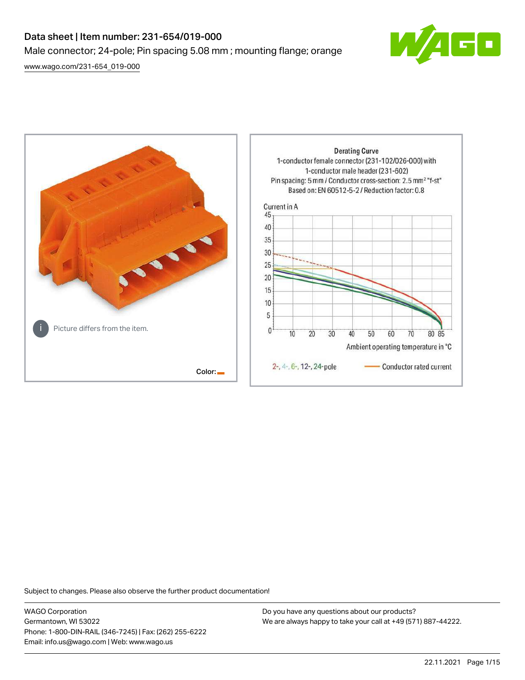# Data sheet | Item number: 231-654/019-000 Male connector; 24-pole; Pin spacing 5.08 mm ; mounting flange; orange

[www.wago.com/231-654\\_019-000](http://www.wago.com/231-654_019-000)





Subject to changes. Please also observe the further product documentation!

WAGO Corporation Germantown, WI 53022 Phone: 1-800-DIN-RAIL (346-7245) | Fax: (262) 255-6222 Email: info.us@wago.com | Web: www.wago.us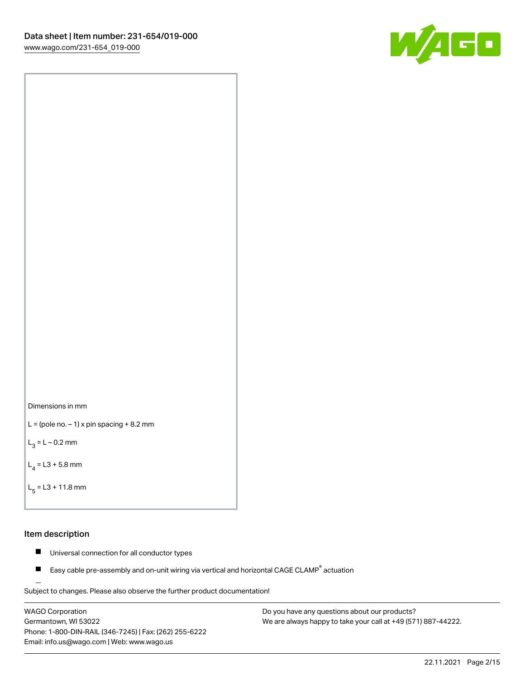![](_page_1_Picture_1.jpeg)

![](_page_1_Figure_2.jpeg)

```
L = (pole no. -1) x pin spacing +8.2 mm
```
 $L_3 = L - 0.2$  mm

```
L_4 = L3 + 5.8 mm
```

```
L_{\rm g} = L3 + 11.8 mm
```
#### Item description

- $\blacksquare$ Universal connection for all conductor types
- Easy cable pre-assembly and on-unit wiring via vertical and horizontal CAGE CLAMP<sup>®</sup> actuation  $\blacksquare$

Subject to changes. Please also observe the further product documentation! For wire-to-wire and board-to-wire connections

WAGO Corporation Germantown, WI 53022 Phone: 1-800-DIN-RAIL (346-7245) | Fax: (262) 255-6222 Email: info.us@wago.com | Web: www.wago.us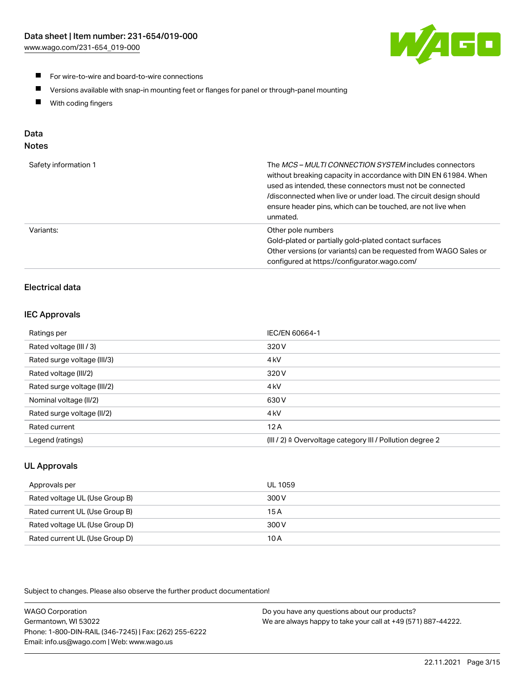![](_page_2_Picture_1.jpeg)

- **For wire-to-wire and board-to-wire connections**
- $\blacksquare$ Versions available with snap-in mounting feet or flanges for panel or through-panel mounting
- $\blacksquare$ With coding fingers

# Data

# Notes

| Safety information 1 | The MCS-MULTI CONNECTION SYSTEM includes connectors<br>without breaking capacity in accordance with DIN EN 61984. When<br>used as intended, these connectors must not be connected<br>/disconnected when live or under load. The circuit design should<br>ensure header pins, which can be touched, are not live when<br>unmated. |
|----------------------|-----------------------------------------------------------------------------------------------------------------------------------------------------------------------------------------------------------------------------------------------------------------------------------------------------------------------------------|
| Variants:            | Other pole numbers<br>Gold-plated or partially gold-plated contact surfaces<br>Other versions (or variants) can be requested from WAGO Sales or<br>configured at https://configurator.wago.com/                                                                                                                                   |

# Electrical data

# IEC Approvals

| Ratings per                 | IEC/EN 60664-1                                                        |
|-----------------------------|-----------------------------------------------------------------------|
| Rated voltage (III / 3)     | 320 V                                                                 |
| Rated surge voltage (III/3) | 4 <sub>kV</sub>                                                       |
| Rated voltage (III/2)       | 320 V                                                                 |
| Rated surge voltage (III/2) | 4 <sub>k</sub> V                                                      |
| Nominal voltage (II/2)      | 630 V                                                                 |
| Rated surge voltage (II/2)  | 4 <sub>kV</sub>                                                       |
| Rated current               | 12A                                                                   |
| Legend (ratings)            | $(III / 2)$ $\triangle$ Overvoltage category III / Pollution degree 2 |

# UL Approvals

| Approvals per                  | UL 1059 |
|--------------------------------|---------|
| Rated voltage UL (Use Group B) | 300 V   |
| Rated current UL (Use Group B) | 15 A    |
| Rated voltage UL (Use Group D) | 300 V   |
| Rated current UL (Use Group D) | 10 A    |

Subject to changes. Please also observe the further product documentation!

| <b>WAGO Corporation</b>                                | Do you have any questions about our products?                 |
|--------------------------------------------------------|---------------------------------------------------------------|
| Germantown, WI 53022                                   | We are always happy to take your call at +49 (571) 887-44222. |
| Phone: 1-800-DIN-RAIL (346-7245)   Fax: (262) 255-6222 |                                                               |
| Email: info.us@wago.com   Web: www.wago.us             |                                                               |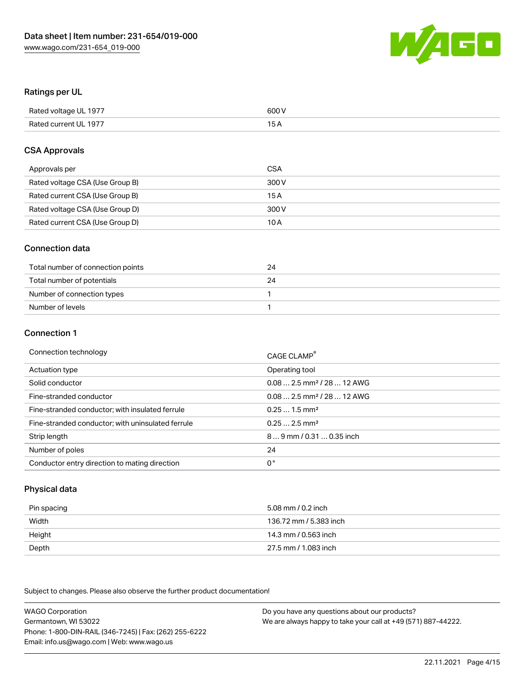![](_page_3_Picture_1.jpeg)

#### Ratings per UL

| Rated voltage UL 1977 | 600 V |
|-----------------------|-------|
| Rated current UL 1977 | 1 E   |

#### CSA Approvals

| Approvals per                   | CSA   |
|---------------------------------|-------|
| Rated voltage CSA (Use Group B) | 300 V |
| Rated current CSA (Use Group B) | 15 A  |
| Rated voltage CSA (Use Group D) | 300 V |
| Rated current CSA (Use Group D) | 10 A  |

#### Connection data

| Total number of connection points | 24 |
|-----------------------------------|----|
| Total number of potentials        | 24 |
| Number of connection types        |    |
| Number of levels                  |    |

#### Connection 1

| Connection technology                             | CAGE CLAMP <sup>®</sup>                |
|---------------------------------------------------|----------------------------------------|
| Actuation type                                    | Operating tool                         |
| Solid conductor                                   | $0.082.5$ mm <sup>2</sup> / 28  12 AWG |
| Fine-stranded conductor                           | $0.082.5$ mm <sup>2</sup> / 28  12 AWG |
| Fine-stranded conductor; with insulated ferrule   | $0.251.5$ mm <sup>2</sup>              |
| Fine-stranded conductor; with uninsulated ferrule | $0.252.5$ mm <sup>2</sup>              |
| Strip length                                      | 89 mm / 0.31  0.35 inch                |
| Number of poles                                   | 24                                     |
| Conductor entry direction to mating direction     | 0°                                     |

# Physical data

| Pin spacing | 5.08 mm / 0.2 inch     |
|-------------|------------------------|
| Width       | 136.72 mm / 5.383 inch |
| Height      | 14.3 mm / 0.563 inch   |
| Depth       | 27.5 mm / 1.083 inch   |

Subject to changes. Please also observe the further product documentation!

WAGO Corporation Germantown, WI 53022 Phone: 1-800-DIN-RAIL (346-7245) | Fax: (262) 255-6222 Email: info.us@wago.com | Web: www.wago.us Do you have any questions about our products? We are always happy to take your call at +49 (571) 887-44222.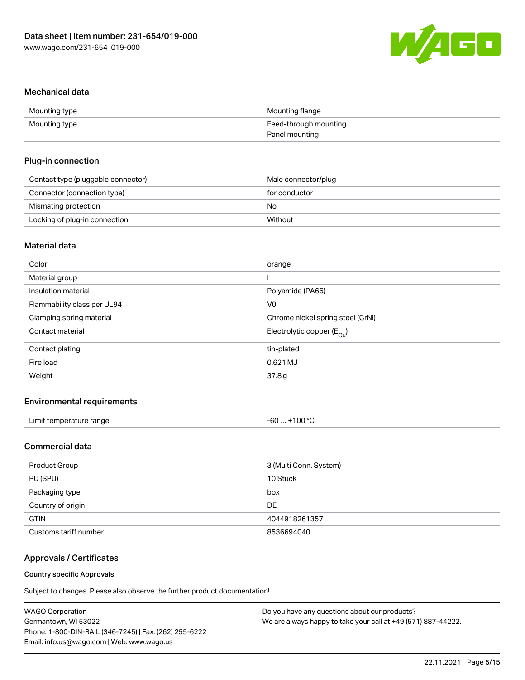![](_page_4_Picture_1.jpeg)

#### Mechanical data

| Mounting type | Mounting flange       |
|---------------|-----------------------|
| Mounting type | Feed-through mounting |
|               | Panel mounting        |

#### Plug-in connection

| Contact type (pluggable connector) | Male connector/plug |
|------------------------------------|---------------------|
| Connector (connection type)        | for conductor       |
| Mismating protection               | No                  |
| Locking of plug-in connection      | Without             |

# Material data

| Color                       | orange                                |
|-----------------------------|---------------------------------------|
| Material group              |                                       |
| Insulation material         | Polyamide (PA66)                      |
| Flammability class per UL94 | V0                                    |
| Clamping spring material    | Chrome nickel spring steel (CrNi)     |
| Contact material            | Electrolytic copper $(E_{\text{Cl}})$ |
| Contact plating             | tin-plated                            |
| Fire load                   | 0.621 MJ                              |
| Weight                      | 37.8g                                 |
|                             |                                       |

# Environmental requirements

| Limit temperature range | $-60+100 °C$ |
|-------------------------|--------------|
|-------------------------|--------------|

# Commercial data

| Product Group         | 3 (Multi Conn. System) |
|-----------------------|------------------------|
| PU (SPU)              | 10 Stück               |
| Packaging type        | box                    |
| Country of origin     | DE                     |
| <b>GTIN</b>           | 4044918261357          |
| Customs tariff number | 8536694040             |

# Approvals / Certificates

#### Country specific Approvals

Subject to changes. Please also observe the further product documentation!

| <b>WAGO Corporation</b>                                | Do you have any questions about our products?                 |
|--------------------------------------------------------|---------------------------------------------------------------|
| Germantown, WI 53022                                   | We are always happy to take your call at +49 (571) 887-44222. |
| Phone: 1-800-DIN-RAIL (346-7245)   Fax: (262) 255-6222 |                                                               |
| Email: info.us@wago.com   Web: www.wago.us             |                                                               |
|                                                        |                                                               |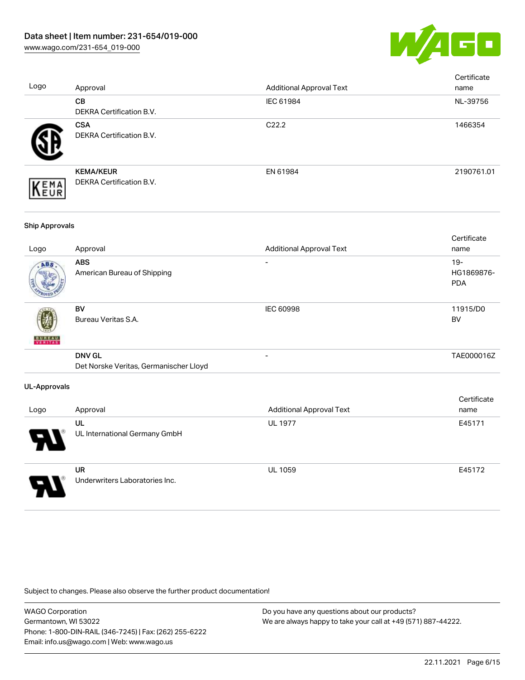![](_page_5_Picture_1.jpeg)

| Logo                  | Approval                                                | <b>Additional Approval Text</b> | Certificate<br>name                |
|-----------------------|---------------------------------------------------------|---------------------------------|------------------------------------|
|                       | CB<br>DEKRA Certification B.V.                          | IEC 61984                       | NL-39756                           |
|                       | <b>CSA</b><br>DEKRA Certification B.V.                  | C22.2                           | 1466354                            |
| EMA<br>EUR            | <b>KEMA/KEUR</b><br>DEKRA Certification B.V.            | EN 61984                        | 2190761.01                         |
| <b>Ship Approvals</b> |                                                         |                                 |                                    |
| Logo                  | Approval                                                | <b>Additional Approval Text</b> | Certificate<br>name                |
|                       | <b>ABS</b><br>American Bureau of Shipping               |                                 | $19 -$<br>HG1869876-<br><b>PDA</b> |
|                       | <b>BV</b><br>Bureau Veritas S.A.                        | <b>IEC 60998</b>                | 11915/D0<br><b>BV</b>              |
|                       | <b>DNV GL</b><br>Det Norske Veritas, Germanischer Lloyd | $\overline{a}$                  | TAE000016Z                         |
| <b>UL-Approvals</b>   |                                                         |                                 |                                    |
| Logo                  | Approval                                                | <b>Additional Approval Text</b> | Certificate<br>name                |
|                       | UL<br>UL International Germany GmbH                     | <b>UL 1977</b>                  | E45171                             |
|                       | <b>UR</b><br>Underwriters Laboratories Inc.             | UL 1059                         | E45172                             |

Subject to changes. Please also observe the further product documentation!

WAGO Corporation Germantown, WI 53022 Phone: 1-800-DIN-RAIL (346-7245) | Fax: (262) 255-6222 Email: info.us@wago.com | Web: www.wago.us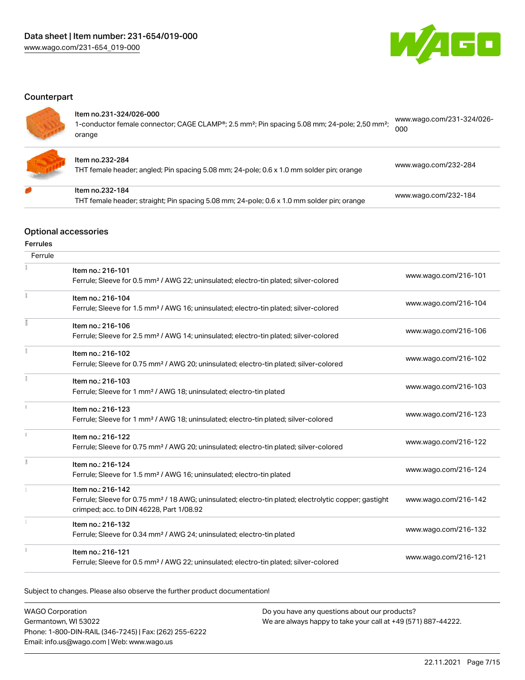![](_page_6_Picture_1.jpeg)

# **Counterpart**

#### Item no.231-324/026-000

| 1-conductor female connector; CAGE CLAMP®; 2.5 mm <sup>2</sup> ; Pin spacing 5.08 mm; 24-pole; 2,50 mm <sup>2</sup> ;<br>orange | 000                       |
|---------------------------------------------------------------------------------------------------------------------------------|---------------------------|
| ltem no.231-324/026-000                                                                                                         | www.wago.com/231-324/026- |

![](_page_6_Picture_6.jpeg)

#### Item no.232-284

Item no.232-184

THT female header; angled; Pin spacing 5.08 mm; 24-pole; 0.6 x 1.0 mm solder pin; orange [www.wago.com/232-284](https://www.wago.com/232-284)

THT female header; straight; Pin spacing 5.08 mm; 24-pole; 0.6 x 1.0 mm solder pin; orange [www.wago.com/232-184](https://www.wago.com/232-184)

# Optional accessories

#### Ferrules

| Ferrule |                                                                                                                                                                                    |                      |
|---------|------------------------------------------------------------------------------------------------------------------------------------------------------------------------------------|----------------------|
|         | Item no.: 216-101<br>Ferrule; Sleeve for 0.5 mm <sup>2</sup> / AWG 22; uninsulated; electro-tin plated; silver-colored                                                             | www.wago.com/216-101 |
|         | Item no.: 216-104<br>Ferrule; Sleeve for 1.5 mm <sup>2</sup> / AWG 16; uninsulated; electro-tin plated; silver-colored                                                             | www.wago.com/216-104 |
|         | Item no.: 216-106<br>Ferrule; Sleeve for 2.5 mm <sup>2</sup> / AWG 14; uninsulated; electro-tin plated; silver-colored                                                             | www.wago.com/216-106 |
|         | Item no.: 216-102<br>Ferrule; Sleeve for 0.75 mm <sup>2</sup> / AWG 20; uninsulated; electro-tin plated; silver-colored                                                            | www.wago.com/216-102 |
|         | Item no.: 216-103<br>Ferrule; Sleeve for 1 mm <sup>2</sup> / AWG 18; uninsulated; electro-tin plated                                                                               | www.wago.com/216-103 |
| 1       | Item no.: 216-123<br>Ferrule; Sleeve for 1 mm <sup>2</sup> / AWG 18; uninsulated; electro-tin plated; silver-colored                                                               | www.wago.com/216-123 |
|         | Item no.: 216-122<br>Ferrule; Sleeve for 0.75 mm <sup>2</sup> / AWG 20; uninsulated; electro-tin plated; silver-colored                                                            | www.wago.com/216-122 |
|         | Item no.: 216-124<br>Ferrule; Sleeve for 1.5 mm <sup>2</sup> / AWG 16; uninsulated; electro-tin plated                                                                             | www.wago.com/216-124 |
|         | Item no.: 216-142<br>Ferrule; Sleeve for 0.75 mm <sup>2</sup> / 18 AWG; uninsulated; electro-tin plated; electrolytic copper; gastight<br>crimped; acc. to DIN 46228, Part 1/08.92 | www.wago.com/216-142 |
|         | Item no.: 216-132<br>Ferrule; Sleeve for 0.34 mm <sup>2</sup> / AWG 24; uninsulated; electro-tin plated                                                                            | www.wago.com/216-132 |
|         | Item no.: 216-121<br>Ferrule; Sleeve for 0.5 mm <sup>2</sup> / AWG 22; uninsulated; electro-tin plated; silver-colored                                                             | www.wago.com/216-121 |

Subject to changes. Please also observe the further product documentation!

| <b>WAGO Corporation</b>                                | Do you have any questions about our products?                 |
|--------------------------------------------------------|---------------------------------------------------------------|
| Germantown. WI 53022                                   | We are always happy to take your call at +49 (571) 887-44222. |
| Phone: 1-800-DIN-RAIL (346-7245)   Fax: (262) 255-6222 |                                                               |
| Email: info.us@wago.com   Web: www.wago.us             |                                                               |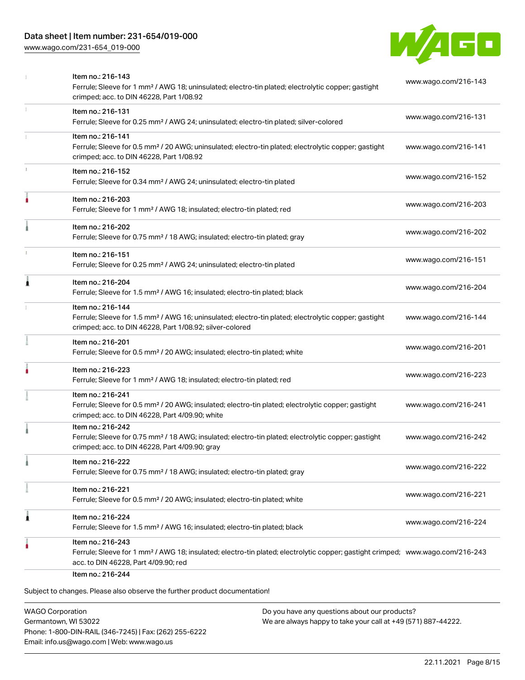# Data sheet | Item number: 231-654/019-000

[www.wago.com/231-654\\_019-000](http://www.wago.com/231-654_019-000)

![](_page_7_Picture_2.jpeg)

|   | Item no.: 216-143<br>Ferrule; Sleeve for 1 mm <sup>2</sup> / AWG 18; uninsulated; electro-tin plated; electrolytic copper; gastight<br>crimped; acc. to DIN 46228, Part 1/08.92                         | www.wago.com/216-143 |
|---|---------------------------------------------------------------------------------------------------------------------------------------------------------------------------------------------------------|----------------------|
|   | Item no.: 216-131<br>Ferrule; Sleeve for 0.25 mm <sup>2</sup> / AWG 24; uninsulated; electro-tin plated; silver-colored                                                                                 | www.wago.com/216-131 |
|   | Item no.: 216-141<br>Ferrule; Sleeve for 0.5 mm <sup>2</sup> / 20 AWG; uninsulated; electro-tin plated; electrolytic copper; gastight<br>crimped; acc. to DIN 46228, Part 1/08.92                       | www.wago.com/216-141 |
|   | Item no.: 216-152<br>Ferrule; Sleeve for 0.34 mm <sup>2</sup> / AWG 24; uninsulated; electro-tin plated                                                                                                 | www.wago.com/216-152 |
| ۸ | Item no.: 216-203<br>Ferrule; Sleeve for 1 mm <sup>2</sup> / AWG 18; insulated; electro-tin plated; red                                                                                                 | www.wago.com/216-203 |
|   | Item no.: 216-202<br>Ferrule; Sleeve for 0.75 mm <sup>2</sup> / 18 AWG; insulated; electro-tin plated; gray                                                                                             | www.wago.com/216-202 |
|   | Item no.: 216-151<br>Ferrule; Sleeve for 0.25 mm <sup>2</sup> / AWG 24; uninsulated; electro-tin plated                                                                                                 | www.wago.com/216-151 |
| Â | Item no.: 216-204<br>Ferrule; Sleeve for 1.5 mm <sup>2</sup> / AWG 16; insulated; electro-tin plated; black                                                                                             | www.wago.com/216-204 |
|   | Item no.: 216-144<br>Ferrule; Sleeve for 1.5 mm <sup>2</sup> / AWG 16; uninsulated; electro-tin plated; electrolytic copper; gastight<br>crimped; acc. to DIN 46228, Part 1/08.92; silver-colored       | www.wago.com/216-144 |
|   | Item no.: 216-201<br>Ferrule; Sleeve for 0.5 mm <sup>2</sup> / 20 AWG; insulated; electro-tin plated; white                                                                                             | www.wago.com/216-201 |
|   | Item no.: 216-223<br>Ferrule; Sleeve for 1 mm <sup>2</sup> / AWG 18; insulated; electro-tin plated; red                                                                                                 | www.wago.com/216-223 |
|   | Item no.: 216-241<br>Ferrule; Sleeve for 0.5 mm <sup>2</sup> / 20 AWG; insulated; electro-tin plated; electrolytic copper; gastight<br>crimped; acc. to DIN 46228, Part 4/09.90; white                  | www.wago.com/216-241 |
|   | Item no.: 216-242<br>Ferrule; Sleeve for 0.75 mm <sup>2</sup> / 18 AWG; insulated; electro-tin plated; electrolytic copper; gastight<br>crimped; acc. to DIN 46228, Part 4/09.90; gray                  | www.wago.com/216-242 |
|   | Item no.: 216-222<br>Ferrule; Sleeve for 0.75 mm <sup>2</sup> / 18 AWG; insulated; electro-tin plated; gray                                                                                             | www.wago.com/216-222 |
|   | Item no.: 216-221<br>Ferrule; Sleeve for 0.5 mm <sup>2</sup> / 20 AWG; insulated; electro-tin plated; white                                                                                             | www.wago.com/216-221 |
| 1 | Item no.: 216-224<br>Ferrule; Sleeve for 1.5 mm <sup>2</sup> / AWG 16; insulated; electro-tin plated; black                                                                                             | www.wago.com/216-224 |
|   | Item no.: 216-243<br>Ferrule; Sleeve for 1 mm <sup>2</sup> / AWG 18; insulated; electro-tin plated; electrolytic copper; gastight crimped; www.wago.com/216-243<br>acc. to DIN 46228, Part 4/09.90; red |                      |
|   | Item no.: 216-244<br>Subject to changes. Please also observe the further product documentation!                                                                                                         |                      |

WAGO Corporation Germantown, WI 53022 Phone: 1-800-DIN-RAIL (346-7245) | Fax: (262) 255-6222 Email: info.us@wago.com | Web: www.wago.us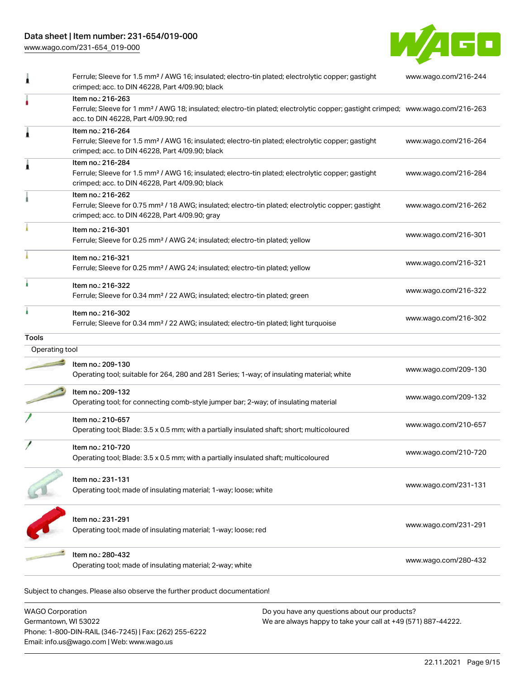# Data sheet | Item number: 231-654/019-000

Phone: 1-800-DIN-RAIL (346-7245) | Fax: (262) 255-6222

Email: info.us@wago.com | Web: www.wago.us

[www.wago.com/231-654\\_019-000](http://www.wago.com/231-654_019-000)

![](_page_8_Picture_2.jpeg)

|                         | Ferrule; Sleeve for 1.5 mm <sup>2</sup> / AWG 16; insulated; electro-tin plated; electrolytic copper; gastight<br>crimped; acc. to DIN 46228, Part 4/09.90; black                                       |                                                               | www.wago.com/216-244 |
|-------------------------|---------------------------------------------------------------------------------------------------------------------------------------------------------------------------------------------------------|---------------------------------------------------------------|----------------------|
|                         | Item no.: 216-263<br>Ferrule; Sleeve for 1 mm <sup>2</sup> / AWG 18; insulated; electro-tin plated; electrolytic copper; gastight crimped; www.wago.com/216-263<br>acc. to DIN 46228, Part 4/09.90; red |                                                               |                      |
|                         | Item no.: 216-264<br>Ferrule; Sleeve for 1.5 mm <sup>2</sup> / AWG 16; insulated; electro-tin plated; electrolytic copper; gastight<br>crimped; acc. to DIN 46228, Part 4/09.90; black                  |                                                               | www.wago.com/216-264 |
|                         | Item no.: 216-284<br>Ferrule; Sleeve for 1.5 mm <sup>2</sup> / AWG 16; insulated; electro-tin plated; electrolytic copper; gastight<br>crimped; acc. to DIN 46228, Part 4/09.90; black                  |                                                               | www.wago.com/216-284 |
|                         | Item no.: 216-262<br>Ferrule; Sleeve for 0.75 mm <sup>2</sup> / 18 AWG; insulated; electro-tin plated; electrolytic copper; gastight<br>crimped; acc. to DIN 46228, Part 4/09.90; gray                  |                                                               | www.wago.com/216-262 |
|                         | Item no.: 216-301<br>Ferrule; Sleeve for 0.25 mm <sup>2</sup> / AWG 24; insulated; electro-tin plated; yellow                                                                                           |                                                               | www.wago.com/216-301 |
|                         | Item no.: 216-321<br>Ferrule; Sleeve for 0.25 mm <sup>2</sup> / AWG 24; insulated; electro-tin plated; yellow                                                                                           |                                                               | www.wago.com/216-321 |
|                         | Item no.: 216-322<br>Ferrule; Sleeve for 0.34 mm <sup>2</sup> / 22 AWG; insulated; electro-tin plated; green                                                                                            |                                                               | www.wago.com/216-322 |
|                         | Item no.: 216-302<br>Ferrule; Sleeve for 0.34 mm <sup>2</sup> / 22 AWG; insulated; electro-tin plated; light turquoise                                                                                  |                                                               | www.wago.com/216-302 |
| Tools                   |                                                                                                                                                                                                         |                                                               |                      |
| Operating tool          |                                                                                                                                                                                                         |                                                               |                      |
|                         | Item no.: 209-130<br>Operating tool; suitable for 264, 280 and 281 Series; 1-way; of insulating material; white                                                                                         |                                                               | www.wago.com/209-130 |
|                         | Item no.: 209-132<br>Operating tool; for connecting comb-style jumper bar; 2-way; of insulating material                                                                                                |                                                               | www.wago.com/209-132 |
|                         | Item no.: 210-657<br>Operating tool; Blade: 3.5 x 0.5 mm; with a partially insulated shaft; short; multicoloured                                                                                        |                                                               | www.wago.com/210-657 |
|                         | Item no.: 210-720<br>Operating tool; Blade: 3.5 x 0.5 mm; with a partially insulated shaft; multicoloured                                                                                               |                                                               | www.wago.com/210-720 |
|                         | Item no.: 231-131<br>Operating tool; made of insulating material; 1-way; loose; white                                                                                                                   |                                                               | www.wago.com/231-131 |
|                         | Item no.: 231-291<br>Operating tool; made of insulating material; 1-way; loose; red                                                                                                                     |                                                               | www.wago.com/231-291 |
|                         | Item no.: 280-432<br>Operating tool; made of insulating material; 2-way; white                                                                                                                          |                                                               | www.wago.com/280-432 |
|                         | Subject to changes. Please also observe the further product documentation!                                                                                                                              |                                                               |                      |
| <b>WAGO Corporation</b> |                                                                                                                                                                                                         | Do you have any questions about our products?                 |                      |
| Germantown, WI 53022    |                                                                                                                                                                                                         | We are always happy to take your call at +49 (571) 887-44222. |                      |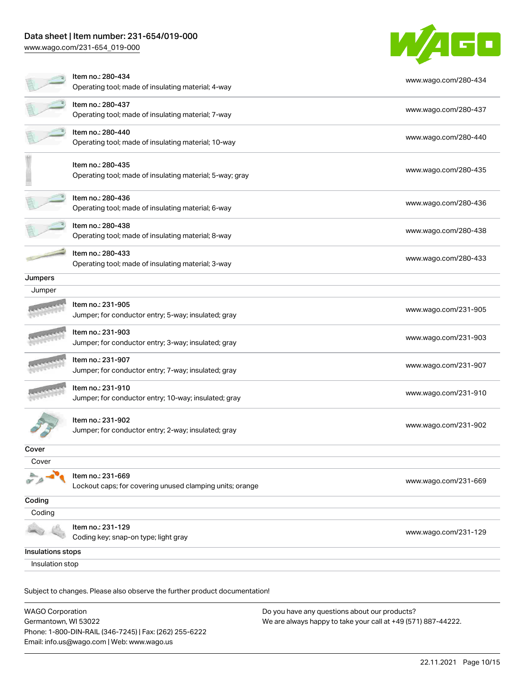# Data sheet | Item number: 231-654/019-000

[www.wago.com/231-654\\_019-000](http://www.wago.com/231-654_019-000)

![](_page_9_Picture_2.jpeg)

|                                                                            | Item no.: 280-434<br>Operating tool; made of insulating material; 4-way       | www.wago.com/280-434 |  |
|----------------------------------------------------------------------------|-------------------------------------------------------------------------------|----------------------|--|
|                                                                            | Item no.: 280-437<br>Operating tool; made of insulating material; 7-way       | www.wago.com/280-437 |  |
|                                                                            | Item no.: 280-440<br>Operating tool; made of insulating material; 10-way      | www.wago.com/280-440 |  |
|                                                                            | Item no.: 280-435<br>Operating tool; made of insulating material; 5-way; gray | www.wago.com/280-435 |  |
|                                                                            | Item no.: 280-436<br>Operating tool; made of insulating material; 6-way       | www.wago.com/280-436 |  |
|                                                                            | Item no.: 280-438<br>Operating tool; made of insulating material; 8-way       | www.wago.com/280-438 |  |
|                                                                            | Item no.: 280-433<br>Operating tool; made of insulating material; 3-way       | www.wago.com/280-433 |  |
| Jumpers                                                                    |                                                                               |                      |  |
| Jumper                                                                     |                                                                               |                      |  |
|                                                                            | Item no.: 231-905<br>Jumper; for conductor entry; 5-way; insulated; gray      | www.wago.com/231-905 |  |
|                                                                            | Item no.: 231-903<br>Jumper; for conductor entry; 3-way; insulated; gray      | www.wago.com/231-903 |  |
|                                                                            | Item no.: 231-907<br>Jumper; for conductor entry; 7-way; insulated; gray      | www.wago.com/231-907 |  |
|                                                                            | Item no.: 231-910<br>Jumper; for conductor entry; 10-way; insulated; gray     | www.wago.com/231-910 |  |
|                                                                            | Item no.: 231-902<br>Jumper; for conductor entry; 2-way; insulated; gray      | www.wago.com/231-902 |  |
| Cover                                                                      |                                                                               |                      |  |
| Cover                                                                      |                                                                               |                      |  |
|                                                                            | Item no.: 231-669<br>Lockout caps; for covering unused clamping units; orange | www.wago.com/231-669 |  |
| Coding                                                                     |                                                                               |                      |  |
| Coding                                                                     |                                                                               |                      |  |
|                                                                            | Item no.: 231-129<br>Coding key; snap-on type; light gray                     | www.wago.com/231-129 |  |
| Insulations stops                                                          |                                                                               |                      |  |
| Insulation stop                                                            |                                                                               |                      |  |
| Subject to changes. Please also observe the further product documentation! |                                                                               |                      |  |

WAGO Corporation Germantown, WI 53022 Phone: 1-800-DIN-RAIL (346-7245) | Fax: (262) 255-6222 Email: info.us@wago.com | Web: www.wago.us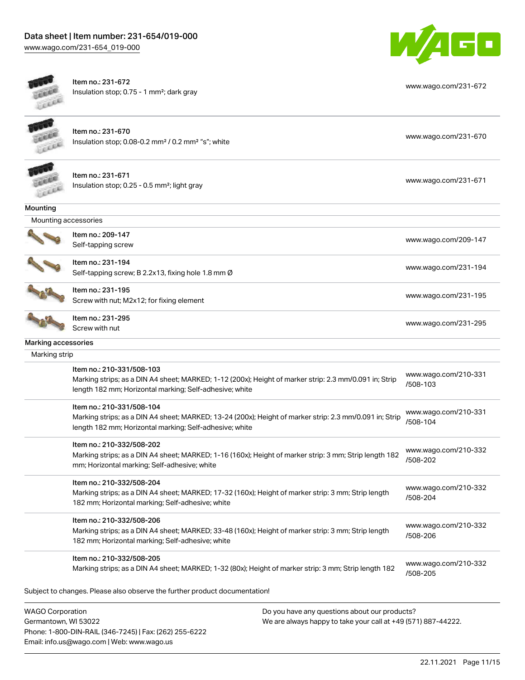![](_page_10_Picture_1.jpeg)

[www.wago.com/231-672](http://www.wago.com/231-672)

![](_page_10_Picture_2.jpeg)

Item no.: 231-672 Insulation stop; 0.75 - 1 mm²; dark gray

| EXER                 | Item no.: 231-670<br>Insulation stop; 0.08-0.2 mm <sup>2</sup> / 0.2 mm <sup>2</sup> "s"; white                                                                                                 | www.wago.com/231-670             |
|----------------------|-------------------------------------------------------------------------------------------------------------------------------------------------------------------------------------------------|----------------------------------|
|                      | Item no.: 231-671<br>Insulation stop; 0.25 - 0.5 mm <sup>2</sup> ; light gray                                                                                                                   | www.wago.com/231-671             |
| Mounting             |                                                                                                                                                                                                 |                                  |
| Mounting accessories |                                                                                                                                                                                                 |                                  |
|                      | Item no.: 209-147<br>Self-tapping screw                                                                                                                                                         | www.wago.com/209-147             |
|                      | Item no.: 231-194<br>Self-tapping screw; B 2.2x13, fixing hole 1.8 mm Ø                                                                                                                         | www.wago.com/231-194             |
|                      | Item no.: 231-195<br>Screw with nut; M2x12; for fixing element                                                                                                                                  | www.wago.com/231-195             |
|                      | Item no.: 231-295<br>Screw with nut                                                                                                                                                             | www.wago.com/231-295             |
| Marking accessories  |                                                                                                                                                                                                 |                                  |
| Marking strip        |                                                                                                                                                                                                 |                                  |
|                      | Item no.: 210-331/508-103<br>Marking strips; as a DIN A4 sheet; MARKED; 1-12 (200x); Height of marker strip: 2.3 mm/0.091 in; Strip<br>length 182 mm; Horizontal marking; Self-adhesive; white  | www.wago.com/210-331<br>/508-103 |
|                      | Item no.: 210-331/508-104<br>Marking strips; as a DIN A4 sheet; MARKED; 13-24 (200x); Height of marker strip: 2.3 mm/0.091 in; Strip<br>length 182 mm; Horizontal marking; Self-adhesive; white | www.wago.com/210-331<br>/508-104 |
|                      | Item no.: 210-332/508-202<br>Marking strips; as a DIN A4 sheet; MARKED; 1-16 (160x); Height of marker strip: 3 mm; Strip length 182<br>mm; Horizontal marking; Self-adhesive; white             | www.wago.com/210-332<br>/508-202 |
|                      | Item no.: 210-332/508-204<br>Marking strips; as a DIN A4 sheet; MARKED; 17-32 (160x); Height of marker strip: 3 mm; Strip length<br>182 mm; Horizontal marking; Self-adhesive; white            | www.wago.com/210-332<br>/508-204 |
|                      | Item no.: 210-332/508-206<br>Marking strips; as a DIN A4 sheet; MARKED; 33-48 (160x); Height of marker strip: 3 mm; Strip length<br>182 mm; Horizontal marking; Self-adhesive; white            | www.wago.com/210-332<br>/508-206 |
|                      | Item no.: 210-332/508-205<br>Marking strips; as a DIN A4 sheet; MARKED; 1-32 (80x); Height of marker strip: 3 mm; Strip length 182                                                              | www.wago.com/210-332<br>/508-205 |

Subject to changes. Please also observe the further product documentation!

WAGO Corporation Germantown, WI 53022 Phone: 1-800-DIN-RAIL (346-7245) | Fax: (262) 255-6222 Email: info.us@wago.com | Web: www.wago.us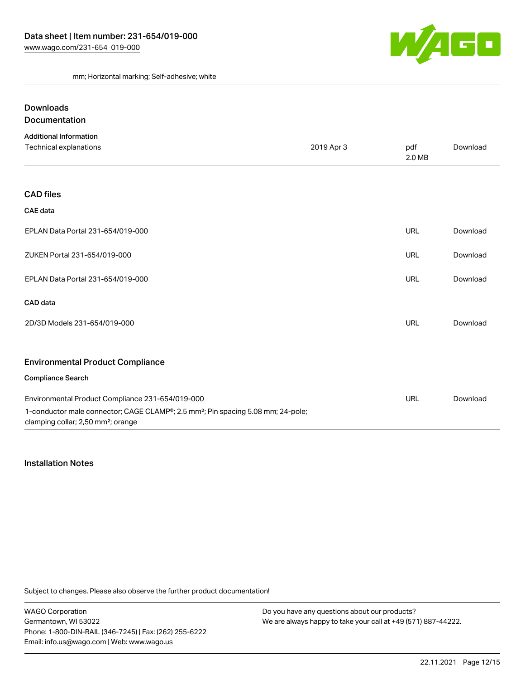![](_page_11_Picture_1.jpeg)

mm; Horizontal marking; Self-adhesive; white

# Downloads **Documentation**

| <b>Additional Information</b>                                                                                                                               |            |               |          |
|-------------------------------------------------------------------------------------------------------------------------------------------------------------|------------|---------------|----------|
| Technical explanations                                                                                                                                      | 2019 Apr 3 | pdf<br>2.0 MB | Download |
|                                                                                                                                                             |            |               |          |
| <b>CAD files</b>                                                                                                                                            |            |               |          |
| <b>CAE</b> data                                                                                                                                             |            |               |          |
| EPLAN Data Portal 231-654/019-000                                                                                                                           |            | <b>URL</b>    | Download |
| ZUKEN Portal 231-654/019-000                                                                                                                                |            | <b>URL</b>    | Download |
| EPLAN Data Portal 231-654/019-000                                                                                                                           |            | <b>URL</b>    | Download |
| CAD data                                                                                                                                                    |            |               |          |
| 2D/3D Models 231-654/019-000                                                                                                                                |            | <b>URL</b>    | Download |
| <b>Environmental Product Compliance</b>                                                                                                                     |            |               |          |
| <b>Compliance Search</b>                                                                                                                                    |            |               |          |
| Environmental Product Compliance 231-654/019-000                                                                                                            |            | <b>URL</b>    | Download |
| 1-conductor male connector; CAGE CLAMP <sup>®</sup> ; 2.5 mm <sup>2</sup> ; Pin spacing 5.08 mm; 24-pole;<br>clamping collar; 2,50 mm <sup>2</sup> ; orange |            |               |          |

#### Installation Notes

Subject to changes. Please also observe the further product documentation!

WAGO Corporation Germantown, WI 53022 Phone: 1-800-DIN-RAIL (346-7245) | Fax: (262) 255-6222 Email: info.us@wago.com | Web: www.wago.us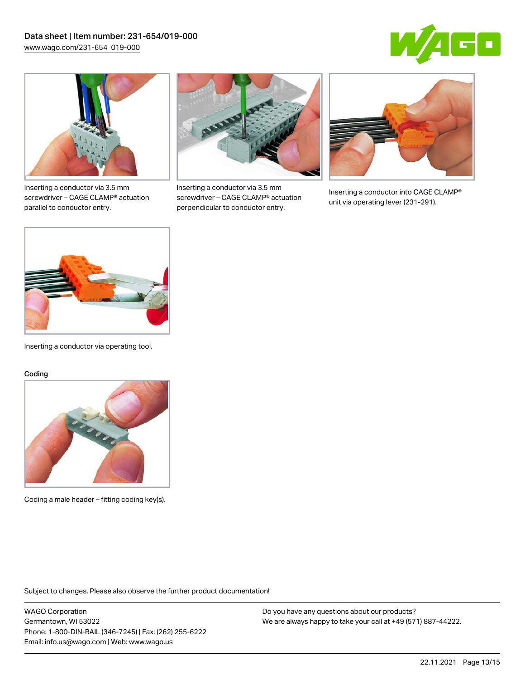![](_page_12_Picture_1.jpeg)

![](_page_12_Picture_2.jpeg)

Inserting a conductor via 3.5 mm screwdriver – CAGE CLAMP® actuation parallel to conductor entry.

![](_page_12_Picture_4.jpeg)

Inserting a conductor via 3.5 mm screwdriver – CAGE CLAMP® actuation perpendicular to conductor entry.

![](_page_12_Picture_6.jpeg)

Inserting a conductor into CAGE CLAMP® unit via operating lever (231-291).

![](_page_12_Picture_8.jpeg)

Inserting a conductor via operating tool.

#### Coding

![](_page_12_Picture_11.jpeg)

Coding a male header – fitting coding key(s).

Subject to changes. Please also observe the further product documentation!

WAGO Corporation Germantown, WI 53022 Phone: 1-800-DIN-RAIL (346-7245) | Fax: (262) 255-6222 Email: info.us@wago.com | Web: www.wago.us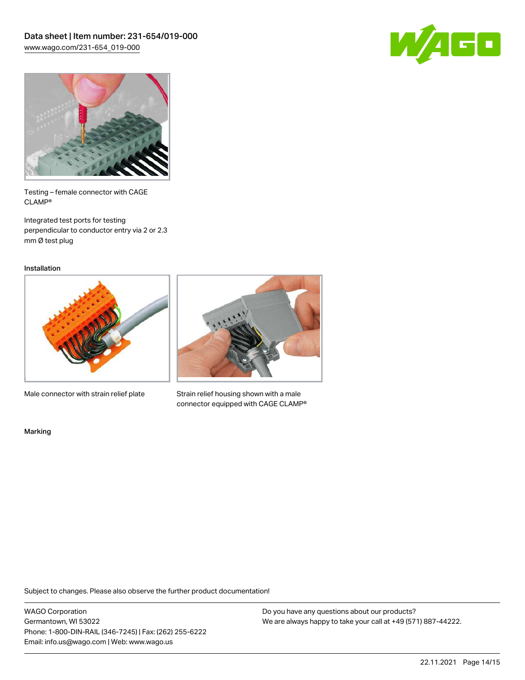![](_page_13_Picture_1.jpeg)

![](_page_13_Picture_2.jpeg)

Testing – female connector with CAGE CLAMP®

Integrated test ports for testing perpendicular to conductor entry via 2 or 2.3 mm Ø test plug

Installation

![](_page_13_Picture_6.jpeg)

Male connector with strain relief plate

![](_page_13_Picture_8.jpeg)

Strain relief housing shown with a male connector equipped with CAGE CLAMP®

Marking

Subject to changes. Please also observe the further product documentation!

WAGO Corporation Germantown, WI 53022 Phone: 1-800-DIN-RAIL (346-7245) | Fax: (262) 255-6222 Email: info.us@wago.com | Web: www.wago.us